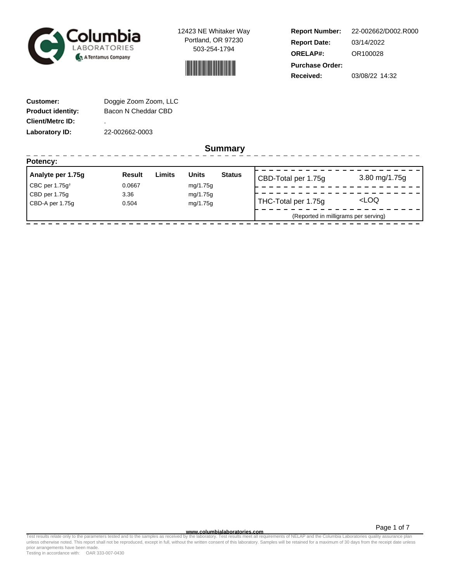



**Report Number: Report Date: ORELAP#:** 03/14/2022 OR100028 **Received:** 03/08/22 14:32 **Purchase Order:** 22-002662/D002.R000

-----------------

| <b>Customer:</b>         | Doggie Zoom Zoom, LLC |
|--------------------------|-----------------------|
| <b>Product identity:</b> | Bacon N Cheddar CBD   |
| <b>Client/Metrc ID:</b>  | ٠                     |
| Laboratory ID:           | 22-002662-0003        |

. . . . . . . . . . . . . . . . . .

**Summary**

| Potency:                   |        |        |              |               |                                      |                     |
|----------------------------|--------|--------|--------------|---------------|--------------------------------------|---------------------|
| Analyte per 1.75g          | Result | Limits | <b>Units</b> | <b>Status</b> | CBD-Total per 1.75g                  | 3.80 mg/1.75g       |
| CBC per 1.75 $q^{\dagger}$ | 0.0667 |        | mg/1.75g     |               |                                      |                     |
| CBD per 1.75g              | 3.36   |        | mg/1.75g     |               |                                      |                     |
| CBD-A per 1.75g            | 0.504  |        | mg/1.75g     |               | THC-Total per 1.75g                  | <loq< td=""></loq<> |
|                            |        |        |              |               | (Reported in milligrams per serving) |                     |

Page 1 of 7

www.columbialaboratories.com<br>Test results relate only to the parameters tested and to the samples as received by the laboratories metall requirements of NELAP and the Columbia Laboratories quality assurance plan<br>unless oth prior arrangements have been made.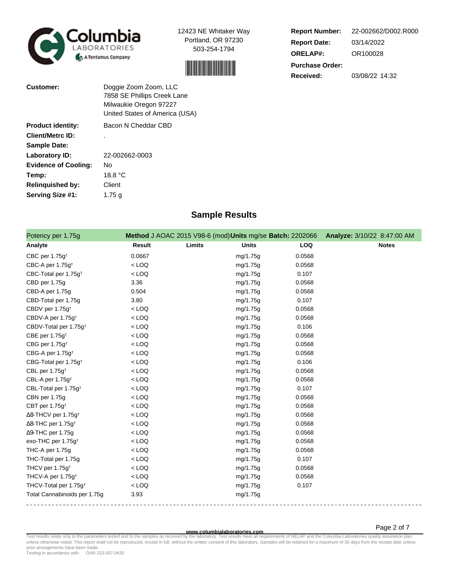



**Report Number: Report Date: ORELAP#:** 03/14/2022 OR100028 **Received:** 03/08/22 14:32 **Purchase Order:** 22-002662/D002.R000

| Customer:                   | Doggie Zoom Zoom, LLC<br>7858 SE Phillips Creek Lane<br>Milwaukie Oregon 97227<br>United States of America (USA) |
|-----------------------------|------------------------------------------------------------------------------------------------------------------|
| <b>Product identity:</b>    | Bacon N Cheddar CBD                                                                                              |
| <b>Client/Metrc ID:</b>     |                                                                                                                  |
| <b>Sample Date:</b>         |                                                                                                                  |
| <b>Laboratory ID:</b>       | 22-002662-0003                                                                                                   |
| <b>Evidence of Cooling:</b> | No                                                                                                               |
| Temp:                       | 18.8 °C                                                                                                          |
| <b>Relinquished by:</b>     | Client                                                                                                           |
| Serving Size #1:            | 1.75 a                                                                                                           |

# **Sample Results**

| Potency per 1.75g                      |               |        | Method J AOAC 2015 V98-6 (mod) Units mg/se Batch: 2202066 |            | Analyze: 3/10/22 8:47:00 AM |
|----------------------------------------|---------------|--------|-----------------------------------------------------------|------------|-----------------------------|
| Analyte                                | <b>Result</b> | Limits | <b>Units</b>                                              | <b>LOQ</b> | <b>Notes</b>                |
| CBC per 1.75g <sup>t</sup>             | 0.0667        |        | mg/1.75g                                                  | 0.0568     |                             |
| CBC-A per 1.75g <sup>+</sup>           | $<$ LOQ       |        | mg/1.75g                                                  | 0.0568     |                             |
| CBC-Total per 1.75g <sup>+</sup>       | $<$ LOQ       |        | mg/1.75g                                                  | 0.107      |                             |
| CBD per 1.75g                          | 3.36          |        | mg/1.75g                                                  | 0.0568     |                             |
| CBD-A per 1.75g                        | 0.504         |        | mg/1.75g                                                  | 0.0568     |                             |
| CBD-Total per 1.75g                    | 3.80          |        | mg/1.75g                                                  | 0.107      |                             |
| CBDV per 1.75g <sup>t</sup>            | $<$ LOQ       |        | mg/1.75g                                                  | 0.0568     |                             |
| CBDV-A per 1.75g <sup>t</sup>          | $<$ LOQ       |        | mg/1.75g                                                  | 0.0568     |                             |
| CBDV-Total per 1.75g <sup>+</sup>      | $<$ LOQ       |        | mg/1.75g                                                  | 0.106      |                             |
| CBE per 1.75g <sup>t</sup>             | $<$ LOQ       |        | mg/1.75g                                                  | 0.0568     |                             |
| CBG per 1.75g <sup>t</sup>             | $<$ LOQ       |        | mg/1.75g                                                  | 0.0568     |                             |
| CBG-A per 1.75q <sup>t</sup>           | $<$ LOQ       |        | mg/1.75g                                                  | 0.0568     |                             |
| CBG-Total per 1.75g <sup>+</sup>       | $<$ LOQ       |        | mg/1.75g                                                  | 0.106      |                             |
| CBL per 1.75g <sup>t</sup>             | $<$ LOQ       |        | mg/1.75g                                                  | 0.0568     |                             |
| CBL-A per 1.75g <sup>t</sup>           | $<$ LOQ       |        | mg/1.75g                                                  | 0.0568     |                             |
| CBL-Total per 1.75g <sup>+</sup>       | $<$ LOQ       |        | mg/1.75g                                                  | 0.107      |                             |
| CBN per 1.75g                          | $<$ LOQ       |        | mg/1.75g                                                  | 0.0568     |                             |
| CBT per 1.75g <sup>+</sup>             | $<$ LOQ       |        | mg/1.75g                                                  | 0.0568     |                             |
| $\Delta$ 8-THCV per 1.75g <sup>+</sup> | $<$ LOQ       |        | mg/1.75g                                                  | 0.0568     |                             |
| $\Delta$ 8-THC per 1.75g <sup>+</sup>  | $<$ LOQ       |        | mg/1.75g                                                  | 0.0568     |                             |
| $\Delta$ 9-THC per 1.75g               | $<$ LOQ       |        | mg/1.75g                                                  | 0.0568     |                             |
| exo-THC per 1.75g <sup>t</sup>         | $<$ LOQ       |        | mg/1.75g                                                  | 0.0568     |                             |
| THC-A per 1.75g                        | $<$ LOQ       |        | mg/1.75g                                                  | 0.0568     |                             |
| THC-Total per 1.75g                    | $<$ LOQ       |        | mg/1.75g                                                  | 0.107      |                             |
| THCV per 1.75g <sup>t</sup>            | $<$ LOQ       |        | mg/1.75g                                                  | 0.0568     |                             |
| THCV-A per 1.75g <sup>+</sup>          | $<$ LOQ       |        | mg/1.75g                                                  | 0.0568     |                             |
| THCV-Total per 1.75g <sup>+</sup>      | $<$ LOQ       |        | mg/1.75g                                                  | 0.107      |                             |
| Total Cannabinoids per 1.75g           | 3.93          |        | mg/1.75g                                                  |            |                             |

Page 2 of 7

www.columbialaboratories.com<br>Test results relate only to the parameters tested and to the samples as received by the laboratories metall requirements of NELAP and the Columbia Laboratories quality assurance plan<br>unless oth prior arrangements have been made.

Testing in accordance with: OAR 333-007-0430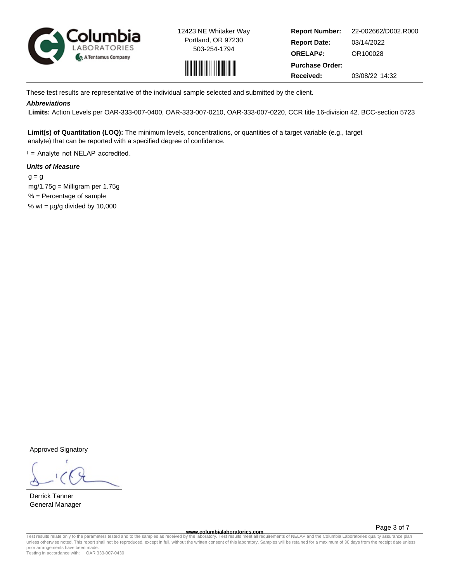



**Report Number: Report Date: ORELAP#:** 03/14/2022 OR100028 **Received:** 03/08/22 14:32 **Purchase Order:** 22-002662/D002.R000

These test results are representative of the individual sample selected and submitted by the client.

# **Abbreviations**

 **Limits:** Action Levels per OAR-333-007-0400, OAR-333-007-0210, OAR-333-007-0220, CCR title 16-division 42. BCC-section 5723

**Limit(s) of Quantitation (LOQ):** The minimum levels, concentrations, or quantities of a target variable (e.g., target analyte) that can be reported with a specified degree of confidence.

† = Analyte not NELAP accredited.

# **Units of Measure**

 $q = q$  mg/1.75g = Milligram per 1.75g % = Percentage of sample % wt =  $\mu$ g/g divided by 10,000

Approved Signatory

Derrick Tanner General Manager

**www.columbialaboratories.com**

Page 3 of 7

Test results relate only to the parameters tested and to the samples as received by the laboratory. Test results meet all requirements of NELAP and the Columbia Laboratories quality assurance plan<br>unless otherwise noted. T prior arrangements have been made.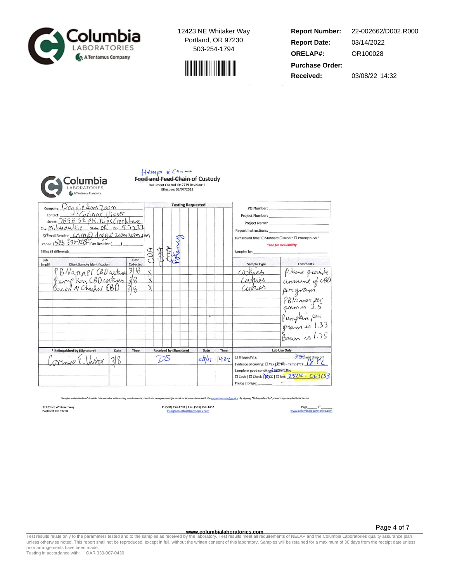



**Report Number: Report Date: ORELAP#:** 03/14/2022 OR100028 **Received:** 03/08/22 14:32 **Purchase Order:** 22-002662/D002.R000



#### Hemp & Canne **Food and Feed Chain of Custody** Document Control ID: 2739 Revision: 1 Effective: 05/07/2021

company: Dog of 2000 7.00 m **Testing Requested** PO Number: Project Number: Project Name: Report Instructions: D'Email Results: CAMQ doggie 200m 202m com Potency Turnaround time:  $\square$  Standard  $\square$  Rush \*  $\square$  Priority Rush \* Phone:  $(503)$   $890-72\frac{8}{10}$  Fax Results: (\_\_) \*Ask for availability COA ACCO **AB** Billing (if different): Sampled by: Date Lab **Client Sample Identification**  $\frac{\text{Collecte}}{\text{3}}$ Sample Type Smpl# Comments PBNanner CBD arkw please provide caskies  $rac{1}{18}$ Pump Kin CBD cookers  $\mathbf{\dot{x}}$ Carries amount of CBD Contros  $\lambda$ perigvam. PBNinner per Pumpkin per gram is 1.33 Bacon is 1.75 \* Relinquished by (Sig Date **Received by (Signature)** Date Time Lab Use Only Time  $\overbrace{\hspace{1.5cm}}\text{C3.}\label{C1}$  This<br>produce of cooling:  $\square$  Yes  $\succright\hspace{-0.2cm}\longrightarrow$  Yes  $\cdot$  Temp (°C):  $\left(\overbrace{\phantom{1}}^{S},\overbrace{\phantom{1}}^{S^{T}}\left(\overbrace{\phantom{1}}^{S}\right)$  $DS$ aring E  $38$  $2/8/22$ 14:32 Sample in good condition Pro TCNo<br>  $\Box$  Cash |  $\Box$  Check | 20cc |  $\Box$  Net:  $\frac{252\%}{252\%}$  -  $\frac{063653}{252}$ Prelog storage:

t for services in accordance with the <u>current terms of service</u>. By signing "Relinquished by" you are agreeing to these terms

12423 NE Whitaker Way<br>Portland, OR 97230

P: (503) 254-1794 | Fax: (503) 254-1452

Page 4 of 7

**www.columbialaboratories.com**<br>Test results relate only to the parameters tested and to the samples as received by the laboratory. Test results meet all requ Test results relate only to the parameters tested and to the samples as received by the laboratory. Test results meet all requirements of NELAP and the Columbia Laboratories quality assurance plan<br>unless otherwise noted. T prior arrangements have been made.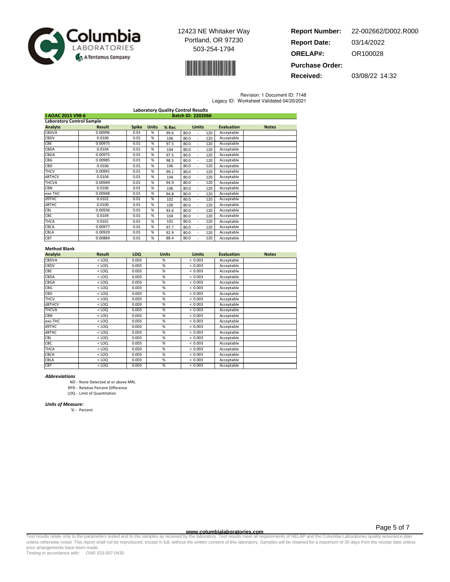



**Report Number: Report Date: ORELAP#:** 03/14/2022 OR100028 **Purchase Order:** 22-002662/D002.R000

**Received:** 03/08/22 14:32

Revision: 1 Document ID: 7148

| Legacy ID: Worksheet Validated 04/20/2021 |  |  |
|-------------------------------------------|--|--|
|                                           |  |  |

| <b>Laboratory Quality Control Results</b> |               |              |              |       |                   |                   |              |
|-------------------------------------------|---------------|--------------|--------------|-------|-------------------|-------------------|--------------|
| J AOAC 2015 V98-6<br>Batch ID: 2202066    |               |              |              |       |                   |                   |              |
| <b>Laboratory Control Sample</b>          |               |              |              |       |                   |                   |              |
| Analyte                                   | <b>Result</b> | <b>Spike</b> | <b>Units</b> | % Rec | <b>Limits</b>     | <b>Evaluation</b> | <b>Notes</b> |
| <b>CBDVA</b>                              | 0.00996       | 0.01         | %            | 99.6  | 80.0<br>120       | Acceptable        |              |
| CBDV                                      | 0.0106        | 0.01         | %            | 106   | 80.0<br>120<br>÷. | Acceptable        |              |
| <b>CBE</b>                                | 0.00975       | 0.01         | %            | 97.5  | 80.0<br>120<br>٠  | Acceptable        |              |
| CBDA                                      | 0.0104        | 0.01         | %            | 104   | 80.0<br>120<br>٠  | Acceptable        |              |
| CBGA                                      | 0.00975       | 0.01         | %            | 97.5  | 80.0<br>120<br>٠  | Acceptable        |              |
| <b>CBG</b>                                | 0.00985       | 0.01         | %            | 98.5  | 80.0<br>120       | Acceptable        |              |
| CBD                                       | 0.0106        | 0.01         | %            | 106   | 80.0<br>120       | Acceptable        |              |
| <b>THCV</b>                               | 0.00991       | 0.01         | %            | 99.1  | 80.0<br>120       | Acceptable        |              |
| d8THCV                                    | 0.0104        | 0.01         | %            | 104   | 80.0<br>120       | Acceptable        |              |
| <b>THCVA</b>                              | 0.00949       | 0.01         | %            | 94.9  | 80.0<br>120       | Acceptable        |              |
| <b>CBN</b>                                | 0.0106        | 0.01         | %            | 106   | 80.0<br>120<br>ä, | Acceptable        |              |
| exo-THC                                   | 0.00948       | 0.01         | %            | 94.8  | 80.0<br>120<br>÷. | Acceptable        |              |
| d9THC                                     | 0.0102        | 0.01         | %            | 102   | 80.0<br>120<br>ä, | Acceptable        |              |
| d8THC                                     | 0.0100        | 0.01         | %            | 100   | 80.0<br>120       | Acceptable        |              |
| <b>CBL</b>                                | 0.00936       | 0.01         | %            | 93.6  | 80.0<br>120       | Acceptable        |              |
| CBC                                       | 0.0104        | 0.01         | %            | 104   | 80.0<br>120       | Acceptable        |              |
| <b>THCA</b>                               | 0.0101        | 0.01         | %            | 101   | 80.0<br>120       | Acceptable        |              |
| CBCA                                      | 0.00977       | 0.01         | %            | 97.7  | 80.0<br>120<br>ä, | Acceptable        |              |
| CBLA                                      | 0.00929       | 0.01         | %            | 92.9  | 80.0<br>120<br>٠  | Acceptable        |              |
| CBT                                       | 0.00884       | 0.01         | %            | 88.4  | 80.0<br>120       | Acceptable        |              |

## Method Blank

| Analyte      | <b>Result</b> | LOQ   | <b>Units</b>    | <b>Limits</b> | <b>Evaluation</b> | <b>Notes</b> |
|--------------|---------------|-------|-----------------|---------------|-------------------|--------------|
| CBDVA        | $<$ LOQ       | 0.003 | %               | < 0.003       | Acceptable        |              |
| CBDV         | $<$ LOQ       | 0.003 | %               | < 0.003       | Acceptable        |              |
| CBE          | $<$ LOQ       | 0.003 | %               | < 0.003       | Acceptable        |              |
| CBDA         | $<$ LOQ       | 0.003 | %               | < 0.003       | Acceptable        |              |
| CBGA         | $<$ LOQ       | 0.003 | %               | < 0.003       | Acceptable        |              |
| CBG          | $<$ LOQ       | 0.003 | %               | < 0.003       | Acceptable        |              |
| CBD          | $<$ LOQ       | 0.003 | %               | < 0.003       | Acceptable        |              |
| <b>THCV</b>  | $<$ LOQ       | 0.003 | %               | < 0.003       | Acceptable        |              |
| d8THCV       | $<$ LOQ       | 0.003 | %               | < 0.003       | Acceptable        |              |
| <b>THCVA</b> | $<$ LOQ       | 0.003 | %               | < 0.003       | Acceptable        |              |
| CBN          | $<$ LOQ       | 0.003 | %               | < 0.003       | Acceptable        |              |
| exo-THC      | $<$ LOQ       | 0.003 | %               | < 0.003       | Acceptable        |              |
| d9THC        | $<$ LOQ       | 0.003 | %               | < 0.003       | Acceptable        |              |
| d8THC        | $<$ LOQ       | 0.003 | $\overline{\%}$ | < 0.003       | Acceptable        |              |
| CBL          | $<$ LOQ       | 0.003 | %               | < 0.003       | Acceptable        |              |
| CBC          | $<$ LOQ       | 0.003 | %               | < 0.003       | Acceptable        |              |
| THCA         | $<$ LOQ       | 0.003 | %               | < 0.003       | Acceptable        |              |
| CBCA         | $<$ LOQ       | 0.003 | %               | < 0.003       | Acceptable        |              |
| CBLA         | $<$ LOQ       | 0.003 | %               | < 0.003       | Acceptable        |              |
| CBT          | $<$ LOQ       | 0.003 | %               | < 0.003       | Acceptable        |              |

#### Abbreviations

ND - None Detected at or above MRL

RPD - Relative Percent Difference

LOQ - Limit of Quantitation

### Units of Measure:

% - Percent

Page 5 of 7

www.columbialaboratories.com<br>Test results relate only to the parameters tested and to the samples as received by the laboratories metall requirements of NELAP and the Columbia Laboratories quality assurance plan<br>unless oth prior arrangements have been made.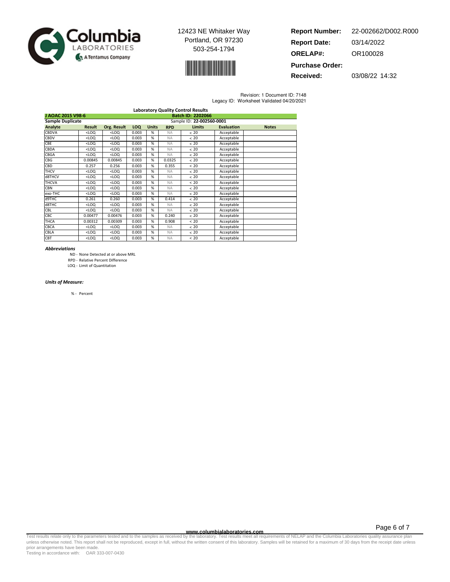



| <b>Report Number:</b>  | 22-002662/D002.R000 |
|------------------------|---------------------|
| <b>Report Date:</b>    | 03/14/2022          |
| <b>ORELAP#:</b>        | OR100028            |
| <b>Purchase Order:</b> |                     |

**Received:** 03/08/22 14:32

Revision: 1 Document ID: 7148 Legacy ID: Worksheet Validated 04/20/2021

|                         |                                                                                                                                        |                                                                                                           |            |              |            | <b>Laboratory Quality Control Results</b> |                   |              |
|-------------------------|----------------------------------------------------------------------------------------------------------------------------------------|-----------------------------------------------------------------------------------------------------------|------------|--------------|------------|-------------------------------------------|-------------------|--------------|
| J AOAC 2015 V98-6       |                                                                                                                                        |                                                                                                           |            |              |            | Batch ID: 2202066                         |                   |              |
| <b>Sample Duplicate</b> |                                                                                                                                        |                                                                                                           |            |              |            | Sample ID: 22-002560-0001                 |                   |              |
| Analyte                 | <b>Result</b>                                                                                                                          | Org. Result                                                                                               | <b>LOQ</b> | <b>Units</b> | <b>RPD</b> | <b>Limits</b>                             | <b>Evaluation</b> | <b>Notes</b> |
| CBDVA                   | $<$ LOQ                                                                                                                                | $<$ LOQ                                                                                                   | 0.003      | %            | <b>NA</b>  | < 20                                      | Acceptable        |              |
| CBDV                    | $<$ LOQ                                                                                                                                | $<$ LOQ                                                                                                   | 0.003      | %            | <b>NA</b>  | < 20                                      | Acceptable        |              |
| CBE                     | $<$ LOQ                                                                                                                                | $<$ LOQ                                                                                                   | 0.003      | %            | <b>NA</b>  | < 20                                      | Acceptable        |              |
| CBDA                    | $<$ LOQ                                                                                                                                | $<$ LOQ                                                                                                   | 0.003      | %            | <b>NA</b>  | < 20                                      | Acceptable        |              |
| CBGA                    | <loq< td=""><td><math>&lt;</math>LOQ</td><td>0.003</td><td>%</td><td><b>NA</b></td><td>&lt; 20</td><td>Acceptable</td><td></td></loq<> | $<$ LOQ                                                                                                   | 0.003      | %            | <b>NA</b>  | < 20                                      | Acceptable        |              |
| CBG                     | 0.00845                                                                                                                                | 0.00845                                                                                                   | 0.003      | %            | 0.0325     | < 20                                      | Acceptable        |              |
| CBD                     | 0.257                                                                                                                                  | 0.256                                                                                                     | 0.003      | %            | 0.355      | < 20                                      | Acceptable        |              |
| <b>THCV</b>             | $<$ LOQ                                                                                                                                | $<$ LOQ                                                                                                   | 0.003      | %            | <b>NA</b>  | < 20                                      | Acceptable        |              |
| d8THCV                  | <loq< td=""><td><loq< td=""><td>0.003</td><td>%</td><td><b>NA</b></td><td>&lt; 20</td><td>Acceptable</td><td></td></loq<></td></loq<>  | <loq< td=""><td>0.003</td><td>%</td><td><b>NA</b></td><td>&lt; 20</td><td>Acceptable</td><td></td></loq<> | 0.003      | %            | <b>NA</b>  | < 20                                      | Acceptable        |              |
| <b>THCVA</b>            | $<$ LOQ                                                                                                                                | $<$ LOQ                                                                                                   | 0.003      | %            | <b>NA</b>  | < 20                                      | Acceptable        |              |
| <b>CBN</b>              | $<$ LOQ                                                                                                                                | $<$ LOQ                                                                                                   | 0.003      | %            | <b>NA</b>  | < 20                                      | Acceptable        |              |
| exo-THC                 | $<$ LOQ                                                                                                                                | $<$ LOQ                                                                                                   | 0.003      | %            | <b>NA</b>  | < 20                                      | Acceptable        |              |
| d9THC                   | 0.261                                                                                                                                  | 0.260                                                                                                     | 0.003      | %            | 0.414      | < 20                                      | Acceptable        |              |
| d8THC                   | <loq< td=""><td><loq< td=""><td>0.003</td><td>%</td><td><b>NA</b></td><td>&lt; 20</td><td>Acceptable</td><td></td></loq<></td></loq<>  | <loq< td=""><td>0.003</td><td>%</td><td><b>NA</b></td><td>&lt; 20</td><td>Acceptable</td><td></td></loq<> | 0.003      | %            | <b>NA</b>  | < 20                                      | Acceptable        |              |
| CBL                     | $<$ LOQ                                                                                                                                | $<$ LOQ                                                                                                   | 0.003      | %            | <b>NA</b>  | < 20                                      | Acceptable        |              |
| <b>CBC</b>              | 0.00477                                                                                                                                | 0.00476                                                                                                   | 0.003      | %            | 0.240      | < 20                                      | Acceptable        |              |
| <b>THCA</b>             | 0.00312                                                                                                                                | 0.00309                                                                                                   | 0.003      | %            | 0.908      | < 20                                      | Acceptable        |              |
| <b>CBCA</b>             | $<$ LOQ                                                                                                                                | <loq< td=""><td>0.003</td><td>%</td><td><b>NA</b></td><td>&lt; 20</td><td>Acceptable</td><td></td></loq<> | 0.003      | %            | <b>NA</b>  | < 20                                      | Acceptable        |              |
| CBLA                    | $<$ LOQ                                                                                                                                | $<$ LOQ                                                                                                   | 0.003      | %            | <b>NA</b>  | < 20                                      | Acceptable        |              |
| CBT                     | $<$ LOQ                                                                                                                                | $<$ LOQ                                                                                                   | 0.003      | %            | <b>NA</b>  | < 20                                      | Acceptable        |              |

#### Abbreviations

- ND None Detected at or above MRL
- RPD Relative Percent Difference

LOQ - Limit of Quantitation

#### Units of Measure:

% - Percent

**WWW.columbialaboratories.com**<br>unless otherwise noted. This report shall not be reproduced, except in full, without the written consent of this laboratory. Test results meet all requirements of NELAP and the Columbia Labor